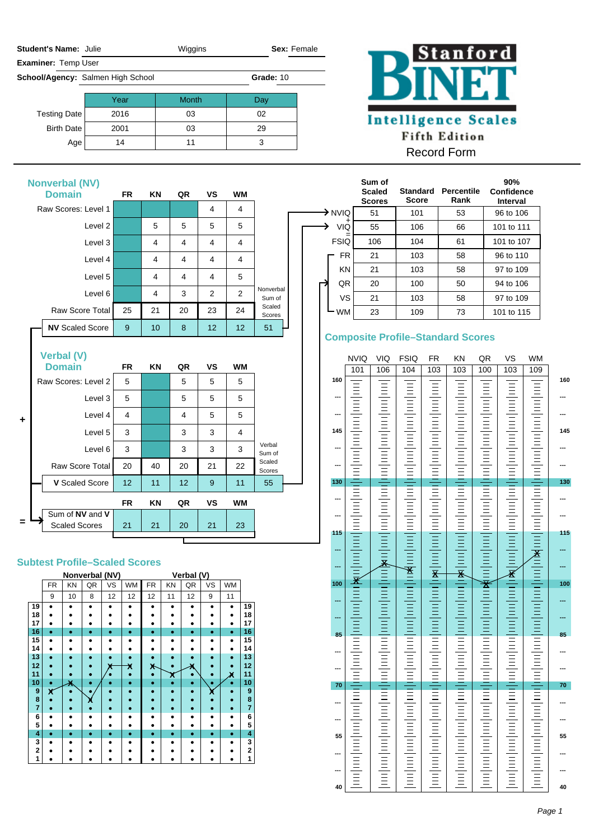| <b>Student's Name: Julie</b> | Wiggins | <b>Sex: Female</b> |
|------------------------------|---------|--------------------|
|                              |         |                    |

**Examiner:** Temp User **School/Agency:** Salmen High School **Grade:** 10

|              | Year | <b>Month</b> | Day |
|--------------|------|--------------|-----|
| Testing Date | 2016 | 03           | 02  |
| Birth Date   | 2001 | 03           | 29  |
| Age          | 14   |              |     |



|                     | <b>Nonverbal (NV)</b><br><b>Domain</b> | <b>FR</b>       | <b>KN</b> | QR              | VS             | <b>WM</b>      |                     |
|---------------------|----------------------------------------|-----------------|-----------|-----------------|----------------|----------------|---------------------|
| Raw Scores: Level 1 |                                        |                 |           |                 | 4              | 4              |                     |
|                     | Level <sub>2</sub>                     |                 | 5         | 5               | 5              | 5              |                     |
|                     | Level 3                                |                 | 4         | 4               | 4              | 4              |                     |
|                     | Level 4                                |                 | 4         | 4               | 4              | 4              |                     |
|                     | Level 5                                |                 | 4         | 4               | 4              | 5              |                     |
|                     | Level 6                                |                 | 4         | 3               | $\overline{2}$ | $\overline{2}$ | Nonverbal<br>Sum of |
|                     | Raw Score Total                        | 25              | 21        | 20              | 23             | 24             | Scaled<br>Scores    |
|                     | <b>NV Scaled Score</b>                 | 9               | 10        | 8               | 12             | 12             | 51                  |
|                     | <b>Verbal (V)</b>                      |                 |           |                 |                |                |                     |
|                     | <b>Domain</b>                          | <b>FR</b>       | <b>KN</b> | QR              | <b>VS</b>      | <b>WM</b>      |                     |
|                     | Raw Scores: Level 2                    | 5               |           | 5               | 5              | 5              |                     |
|                     | Level 3                                | 5               |           | 5               | 5              | 5              |                     |
| $\ddot{}$           | Level 4                                | 4               |           | 4               | 5              | 5              |                     |
|                     | Level 5                                | 3               |           | 3               | 3              | 4              |                     |
|                     | Level 6                                | 3               |           | 3               | 3              | 3              | Verbal<br>Sum of    |
|                     | Raw Score Total                        | 20              | 40        | 20              | 21             | 22             | Scaled<br>Scores    |
|                     | V Scaled Score                         | 12 <sup>2</sup> | 11        | 12 <sup>2</sup> | 9              | 11             | 55                  |
|                     | Sum of NV and V                        | <b>FR</b>       | <b>KN</b> | QR              | VS             | <b>WM</b>      |                     |

## **Subtest Profile–Scaled Scores**



|                    | Sum of<br><b>Scaled</b><br><b>Scores</b> | <b>Standard</b><br><b>Score</b> | <b>Percentile</b><br>Rank | 90%<br>Confidence<br><b>Interval</b> |
|--------------------|------------------------------------------|---------------------------------|---------------------------|--------------------------------------|
| $\rightarrow$ NVIQ | 51                                       | 101                             | 53                        | 96 to 106                            |
| VIQ                | 55                                       | 106                             | 66                        | 101 to 111                           |
| <b>FSIQ</b>        | 106                                      | 104                             | 61                        | 101 to 107                           |
| FR.                | 21                                       | 103                             | 58                        | 96 to 110                            |
| ΚN                 | 21                                       | 103                             | 58                        | 97 to 109                            |
| <b>QR</b>          | 20                                       | 100                             | 50                        | 94 to 106                            |
| <b>VS</b>          | 21                                       | 103                             | 58                        | 97 to 109                            |
| WM                 | 23                                       | 109                             | 73                        | 101 to 115                           |

# **Composite Profile–Standard Scores**

|                                         | <b>NVIQ</b>                                                                     | <b>VIQ</b>                                                                                 | <b>FSIQ</b> | FR                                                                                | KN | QR | VS | <b>WM</b> |                                                                                                                  |
|-----------------------------------------|---------------------------------------------------------------------------------|--------------------------------------------------------------------------------------------|-------------|-----------------------------------------------------------------------------------|----|----|----|-----------|------------------------------------------------------------------------------------------------------------------|
|                                         | $\frac{101}{1}$                                                                 |                                                                                            |             |                                                                                   |    |    |    |           |                                                                                                                  |
| 160                                     |                                                                                 |                                                                                            |             |                                                                                   |    |    |    |           | 160                                                                                                              |
|                                         |                                                                                 |                                                                                            |             |                                                                                   |    |    |    |           |                                                                                                                  |
|                                         |                                                                                 |                                                                                            |             |                                                                                   |    |    |    |           |                                                                                                                  |
|                                         |                                                                                 |                                                                                            |             |                                                                                   |    |    |    |           |                                                                                                                  |
|                                         |                                                                                 |                                                                                            |             |                                                                                   |    |    |    |           |                                                                                                                  |
|                                         |                                                                                 |                                                                                            |             |                                                                                   |    |    |    |           |                                                                                                                  |
|                                         |                                                                                 |                                                                                            |             |                                                                                   |    |    |    |           |                                                                                                                  |
|                                         |                                                                                 |                                                                                            |             |                                                                                   |    |    |    |           |                                                                                                                  |
|                                         |                                                                                 |                                                                                            |             |                                                                                   |    |    |    |           |                                                                                                                  |
|                                         |                                                                                 |                                                                                            |             |                                                                                   |    |    |    |           |                                                                                                                  |
|                                         |                                                                                 |                                                                                            |             |                                                                                   |    |    |    |           |                                                                                                                  |
|                                         |                                                                                 |                                                                                            |             |                                                                                   |    |    |    |           |                                                                                                                  |
|                                         |                                                                                 |                                                                                            |             |                                                                                   |    |    |    |           |                                                                                                                  |
|                                         |                                                                                 |                                                                                            |             |                                                                                   |    |    |    |           |                                                                                                                  |
|                                         |                                                                                 |                                                                                            |             |                                                                                   |    |    |    |           |                                                                                                                  |
|                                         |                                                                                 |                                                                                            |             |                                                                                   |    |    |    |           |                                                                                                                  |
|                                         |                                                                                 |                                                                                            |             |                                                                                   |    |    |    |           |                                                                                                                  |
|                                         |                                                                                 |                                                                                            |             |                                                                                   |    |    |    |           |                                                                                                                  |
|                                         |                                                                                 |                                                                                            |             |                                                                                   |    |    |    |           |                                                                                                                  |
|                                         |                                                                                 |                                                                                            |             |                                                                                   |    |    |    |           |                                                                                                                  |
| -- -- 145 -- -- 130 -- -- 115 -- -- 100 |                                                                                 |                                                                                            |             |                                                                                   |    |    |    |           |                                                                                                                  |
|                                         |                                                                                 |                                                                                            |             |                                                                                   |    |    |    |           |                                                                                                                  |
|                                         |                                                                                 |                                                                                            |             |                                                                                   |    |    |    |           |                                                                                                                  |
|                                         |                                                                                 |                                                                                            |             |                                                                                   |    |    |    |           |                                                                                                                  |
|                                         |                                                                                 |                                                                                            |             |                                                                                   |    |    |    |           |                                                                                                                  |
|                                         |                                                                                 |                                                                                            |             |                                                                                   |    |    |    |           |                                                                                                                  |
|                                         |                                                                                 |                                                                                            |             |                                                                                   |    |    |    |           |                                                                                                                  |
|                                         |                                                                                 |                                                                                            |             |                                                                                   |    |    |    |           |                                                                                                                  |
|                                         |                                                                                 |                                                                                            |             |                                                                                   |    |    |    |           |                                                                                                                  |
|                                         |                                                                                 |                                                                                            |             |                                                                                   |    |    |    |           |                                                                                                                  |
|                                         |                                                                                 |                                                                                            |             |                                                                                   |    |    |    |           |                                                                                                                  |
|                                         |                                                                                 |                                                                                            |             |                                                                                   |    |    |    |           |                                                                                                                  |
|                                         |                                                                                 |                                                                                            |             |                                                                                   |    |    |    |           |                                                                                                                  |
|                                         |                                                                                 |                                                                                            |             |                                                                                   |    |    |    |           |                                                                                                                  |
|                                         |                                                                                 |                                                                                            |             |                                                                                   |    |    |    |           |                                                                                                                  |
|                                         |                                                                                 |                                                                                            |             |                                                                                   |    |    |    |           |                                                                                                                  |
|                                         |                                                                                 |                                                                                            |             |                                                                                   |    |    |    |           |                                                                                                                  |
|                                         |                                                                                 |                                                                                            |             |                                                                                   |    |    |    |           |                                                                                                                  |
|                                         |                                                                                 |                                                                                            |             |                                                                                   |    |    |    |           |                                                                                                                  |
|                                         |                                                                                 |                                                                                            |             |                                                                                   |    |    |    |           |                                                                                                                  |
|                                         |                                                                                 |                                                                                            |             |                                                                                   |    |    |    |           |                                                                                                                  |
|                                         |                                                                                 |                                                                                            |             |                                                                                   |    |    |    |           |                                                                                                                  |
|                                         |                                                                                 |                                                                                            |             |                                                                                   |    |    |    |           |                                                                                                                  |
|                                         | holoolooloolooluu hadaalaa ku ku hadaalaa hadaa laadaa laadaa laadaa hadaa laad | 修  structure  restructure  restructure  restructure  restructure  restructure  restructure |             | [8] [11] http://www.furcher.com/www.furcher.com/www.furcher.com/www.furcher.com/w |    |    |    |           | -- 145 -- 130 -- 11 -- 100 -- -- 85 -- -- 70 -- -- 55 -- -- 40 -- -- 100 -- -- -- 85 -- -- 70 --- -- 55 -- -- 40 |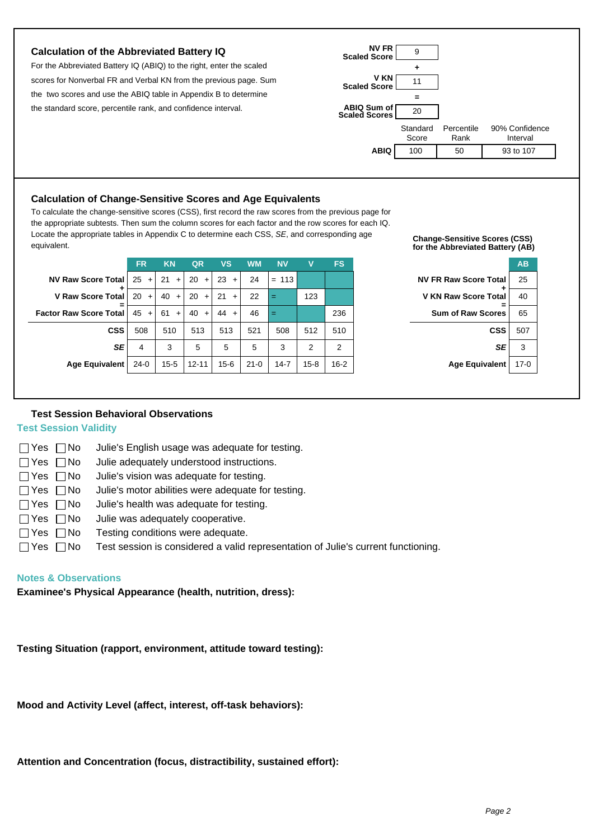## **Calculation of the Abbreviated Battery IQ**

For the Abbreviated Battery IQ (ABIQ) to the right, enter the scaled scores for Nonverbal FR and Verbal KN from the previous page. Sum the two scores and use the ABIQ table in Appendix B to determine the standard score, percentile rank, and confidence interval.



## **Calculation of Change-Sensitive Scores and Age Equivalents**

To calculate the change-sensitive scores (CSS), first record the raw scores from the previous page for the appropriate subtests. Then sum the column scores for each factor and the row scores for each IQ. Locate the appropriate tables in Appendix C to determine each CSS, SE, and corresponding age equivalent.

|                               | <b>FR</b> | <b>KN</b> | QR         | <b>VS</b> | <b>WM</b> | <b>NV</b> | v        | FS       |                              | <b>AB</b> |
|-------------------------------|-----------|-----------|------------|-----------|-----------|-----------|----------|----------|------------------------------|-----------|
| <b>NV Raw Score Total</b>     | 25<br>$+$ | 21<br>$+$ | 20<br>$+1$ | 23<br>$+$ | 24        | $= 113$   |          |          | <b>NV FR Raw Score Total</b> | 25        |
| V Raw Score Total             | $20 +$    | $40 +$    | $20 +$     | $21 +$    | 22        |           | 123      |          | <b>V KN Raw Score Total</b>  | 40        |
| <b>Factor Raw Score Total</b> | 45<br>$+$ | 61<br>$+$ | $40 +$     | 44<br>$+$ | 46        |           |          | 236      | <b>Sum of Raw Scores</b>     | 65        |
| <b>CSS</b>                    | 508       | 510       | 513        | 513       | 521       | 508       | 512      | 510      | <b>CSS</b>                   | 507       |
| <b>SE</b>                     | 4         | 3         | 5          | 5         | 5         | 3         | 2        | 2        | <b>SE</b>                    | 3         |
| <b>Age Equivalent</b>         | $24-0$    | $15 - 5$  | $12 - 11$  | $15 - 6$  | $21 - 0$  | $14 - 7$  | $15 - 8$ | $16 - 2$ | <b>Age Equivalent</b>        | $17 - C$  |

**Change-Sensitive Scores (CSS) for the Abbreviated Battery (AB)**

|                              | AВ     |
|------------------------------|--------|
| <b>NV FR Raw Score Total</b> | 25     |
| <b>V KN Raw Score Total</b>  | 40     |
| <b>Sum of Raw Scores</b>     | 65     |
| <b>CSS</b>                   | 507    |
| <b>SE</b>                    | 3      |
| <b>Age Equivalent</b>        | $17-0$ |

### **Test Session Behavioral Observations**

**Test Session Validity**

 $\Box$  Yes  $\Box$  No Julie's English usage was adequate for testing.  $\Box$  Yes  $\Box$  No Julie adequately understood instructions.  $\Box$  Yes  $\Box$  No Julie's vision was adequate for testing.  $\Box$  Yes  $\Box$  No Julie's motor abilities were adequate for testing.  $\Box$  Yes  $\Box$  No Julie's health was adequate for testing.  $\Box$  Yes  $\Box$  No Julie was adequately cooperative.  $\Box$  Yes  $\Box$  No Testing conditions were adequate. □ Yes □ No Test session is considered a valid representation of Julie's current functioning.

### **Notes & Observations**

**Examinee's Physical Appearance (health, nutrition, dress):**

**Testing Situation (rapport, environment, attitude toward testing):**

**Mood and Activity Level (affect, interest, off-task behaviors):**

**Attention and Concentration (focus, distractibility, sustained effort):**